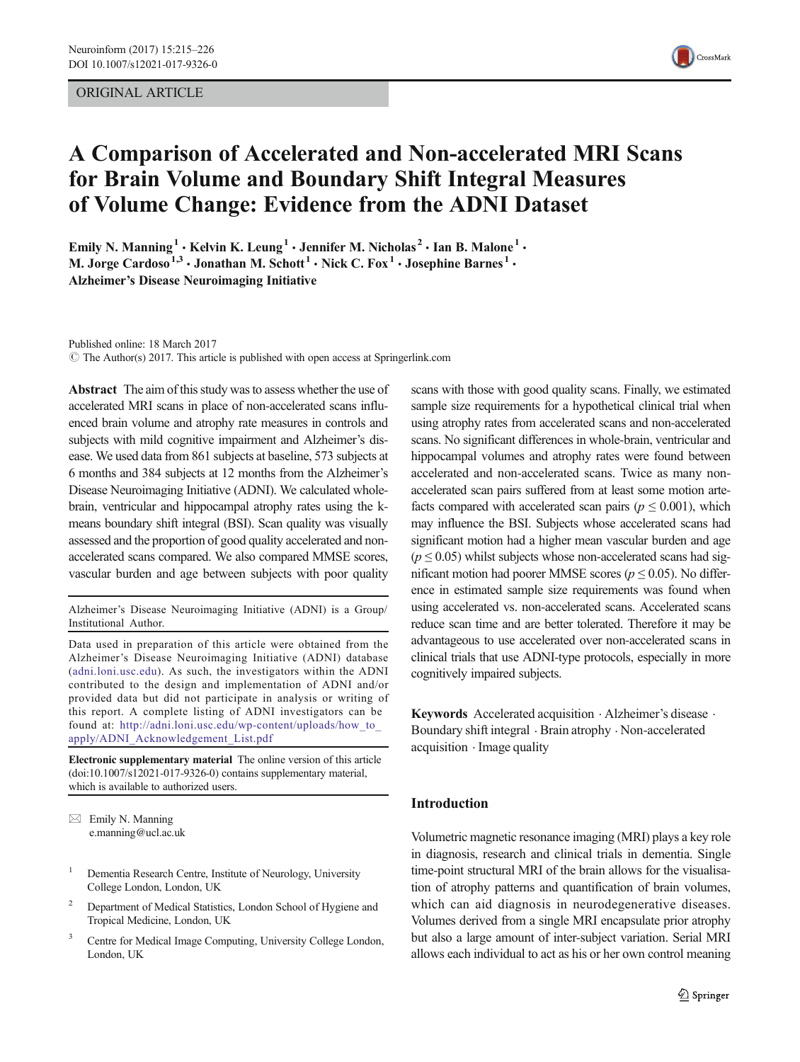# ORIGINAL ARTICLE



# A Comparison of Accelerated and Non-accelerated MRI Scans for Brain Volume and Boundary Shift Integral Measures of Volume Change: Evidence from the ADNI Dataset

Emily N. Manning<sup>1</sup> • Kelvin K. Leung<sup>1</sup> • Jennifer M. Nicholas<sup>2</sup> • Ian B. Malone<sup>1</sup> • M. Jorge Cardoso<sup>1,3</sup>  $\cdot$  Jonathan M. Schott<sup>1</sup>  $\cdot$  Nick C. Fox<sup>1</sup>  $\cdot$  Josephine Barnes<sup>1</sup>  $\cdot$ Alzheimer's Disease Neuroimaging Initiative

Published online: 18 March 2017

 $\odot$  The Author(s) 2017. This article is published with open access at Springerlink.com

Abstract The aim of this study was to assess whether the use of accelerated MRI scans in place of non-accelerated scans influenced brain volume and atrophy rate measures in controls and subjects with mild cognitive impairment and Alzheimer's disease. We used data from 861 subjects at baseline, 573 subjects at 6 months and 384 subjects at 12 months from the Alzheimer's Disease Neuroimaging Initiative (ADNI). We calculated wholebrain, ventricular and hippocampal atrophy rates using the kmeans boundary shift integral (BSI). Scan quality was visually assessed and the proportion of good quality accelerated and nonaccelerated scans compared. We also compared MMSE scores, vascular burden and age between subjects with poor quality

Alzheimer's Disease Neuroimaging Initiative (ADNI) is a Group/ Institutional Author.

Data used in preparation of this article were obtained from the Alzheimer's Disease Neuroimaging Initiative (ADNI) database ([adni.loni.usc.edu](http://adni.loni.usc.edu)). As such, the investigators within the ADNI contributed to the design and implementation of ADNI and/or provided data but did not participate in analysis or writing of this report. A complete listing of ADNI investigators can be found at: http://adni.loni.usc.edu/wp-content/uploads/how to [apply/ADNI\\_Acknowledgement\\_List.pdf](http://adni.loni.usc.edu/wp-content/uploads/how_to_apply/ADNI_Acknowledgement_List.pdf)

Electronic supplementary material The online version of this article (doi:[10.1007/s12021-017-9326-0\)](http://dx.doi.org/10.1007/s12021-017-9326-0)) contains supplementary material, which is available to authorized users.

- <sup>1</sup> Dementia Research Centre, Institute of Neurology, University College London, London, UK
- <sup>2</sup> Department of Medical Statistics, London School of Hygiene and Tropical Medicine, London, UK
- <sup>3</sup> Centre for Medical Image Computing, University College London, London, UK

scans with those with good quality scans. Finally, we estimated sample size requirements for a hypothetical clinical trial when using atrophy rates from accelerated scans and non-accelerated scans. No significant differences in whole-brain, ventricular and hippocampal volumes and atrophy rates were found between accelerated and non-accelerated scans. Twice as many nonaccelerated scan pairs suffered from at least some motion artefacts compared with accelerated scan pairs ( $p \leq 0.001$ ), which may influence the BSI. Subjects whose accelerated scans had significant motion had a higher mean vascular burden and age  $(p \le 0.05)$  whilst subjects whose non-accelerated scans had significant motion had poorer MMSE scores ( $p \le 0.05$ ). No difference in estimated sample size requirements was found when using accelerated vs. non-accelerated scans. Accelerated scans reduce scan time and are better tolerated. Therefore it may be advantageous to use accelerated over non-accelerated scans in clinical trials that use ADNI-type protocols, especially in more cognitively impaired subjects.

Keywords Accelerated acquisition . Alzheimer's disease . Boundary shift integral . Brain atrophy . Non-accelerated acquisition . Image quality

# Introduction

Volumetric magnetic resonance imaging (MRI) plays a key role in diagnosis, research and clinical trials in dementia. Single time-point structural MRI of the brain allows for the visualisation of atrophy patterns and quantification of brain volumes, which can aid diagnosis in neurodegenerative diseases. Volumes derived from a single MRI encapsulate prior atrophy but also a large amount of inter-subject variation. Serial MRI allows each individual to act as his or her own control meaning

 $\boxtimes$  Emily N. Manning e.manning@ucl.ac.uk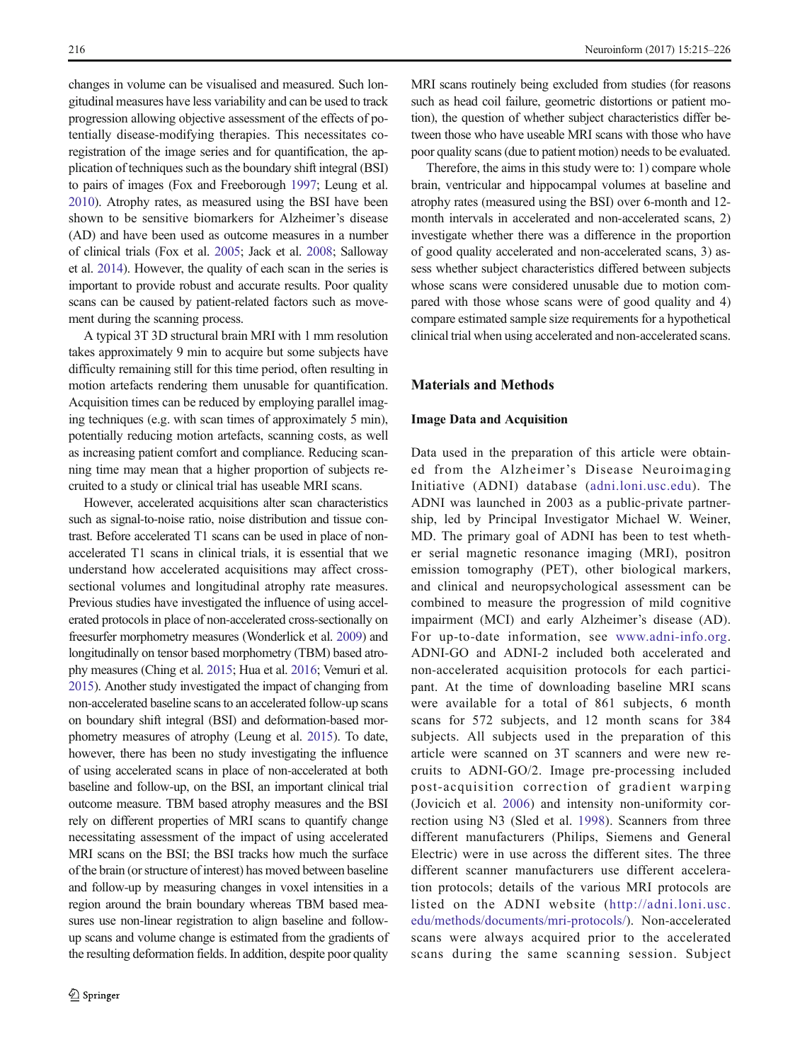changes in volume can be visualised and measured. Such longitudinal measures have less variability and can be used to track progression allowing objective assessment of the effects of potentially disease-modifying therapies. This necessitates coregistration of the image series and for quantification, the application of techniques such as the boundary shift integral (BSI) to pairs of images (Fox and Freeborough [1997;](#page-10-0) Leung et al. [2010](#page-11-0)). Atrophy rates, as measured using the BSI have been shown to be sensitive biomarkers for Alzheimer's disease (AD) and have been used as outcome measures in a number of clinical trials (Fox et al. [2005;](#page-10-0) Jack et al. [2008;](#page-11-0) Salloway et al. [2014\)](#page-11-0). However, the quality of each scan in the series is important to provide robust and accurate results. Poor quality scans can be caused by patient-related factors such as movement during the scanning process.

A typical 3T 3D structural brain MRI with 1 mm resolution takes approximately 9 min to acquire but some subjects have difficulty remaining still for this time period, often resulting in motion artefacts rendering them unusable for quantification. Acquisition times can be reduced by employing parallel imaging techniques (e.g. with scan times of approximately 5 min), potentially reducing motion artefacts, scanning costs, as well as increasing patient comfort and compliance. Reducing scanning time may mean that a higher proportion of subjects recruited to a study or clinical trial has useable MRI scans.

However, accelerated acquisitions alter scan characteristics such as signal-to-noise ratio, noise distribution and tissue contrast. Before accelerated T1 scans can be used in place of nonaccelerated T1 scans in clinical trials, it is essential that we understand how accelerated acquisitions may affect crosssectional volumes and longitudinal atrophy rate measures. Previous studies have investigated the influence of using accelerated protocols in place of non-accelerated cross-sectionally on freesurfer morphometry measures (Wonderlick et al. [2009\)](#page-11-0) and longitudinally on tensor based morphometry (TBM) based atrophy measures (Ching et al. [2015](#page-10-0); Hua et al. [2016;](#page-11-0) Vemuri et al. [2015](#page-11-0)). Another study investigated the impact of changing from non-accelerated baseline scans to an accelerated follow-up scans on boundary shift integral (BSI) and deformation-based morphometry measures of atrophy (Leung et al. [2015](#page-11-0)). To date, however, there has been no study investigating the influence of using accelerated scans in place of non-accelerated at both baseline and follow-up, on the BSI, an important clinical trial outcome measure. TBM based atrophy measures and the BSI rely on different properties of MRI scans to quantify change necessitating assessment of the impact of using accelerated MRI scans on the BSI; the BSI tracks how much the surface of the brain (or structure of interest) has moved between baseline and follow-up by measuring changes in voxel intensities in a region around the brain boundary whereas TBM based measures use non-linear registration to align baseline and followup scans and volume change is estimated from the gradients of the resulting deformation fields. In addition, despite poor quality

MRI scans routinely being excluded from studies (for reasons such as head coil failure, geometric distortions or patient motion), the question of whether subject characteristics differ between those who have useable MRI scans with those who have poor quality scans (due to patient motion) needs to be evaluated.

Therefore, the aims in this study were to: 1) compare whole brain, ventricular and hippocampal volumes at baseline and atrophy rates (measured using the BSI) over 6-month and 12 month intervals in accelerated and non-accelerated scans, 2) investigate whether there was a difference in the proportion of good quality accelerated and non-accelerated scans, 3) assess whether subject characteristics differed between subjects whose scans were considered unusable due to motion compared with those whose scans were of good quality and 4) compare estimated sample size requirements for a hypothetical clinical trial when using accelerated and non-accelerated scans.

### Materials and Methods

#### Image Data and Acquisition

Data used in the preparation of this article were obtained from the Alzheimer's Disease Neuroimaging Initiative (ADNI) database ([adni.loni.usc.edu](http://adni.loni.usc.edu)). The ADNI was launched in 2003 as a public-private partnership, led by Principal Investigator Michael W. Weiner, MD. The primary goal of ADNI has been to test whether serial magnetic resonance imaging (MRI), positron emission tomography (PET), other biological markers, and clinical and neuropsychological assessment can be combined to measure the progression of mild cognitive impairment (MCI) and early Alzheimer's disease (AD). For up-to-date information, see [www.adni-info.org.](http://www.adni-info.org) ADNI-GO and ADNI-2 included both accelerated and non-accelerated acquisition protocols for each participant. At the time of downloading baseline MRI scans were available for a total of 861 subjects, 6 month scans for 572 subjects, and 12 month scans for 384 subjects. All subjects used in the preparation of this article were scanned on 3T scanners and were new recruits to ADNI-GO/2. Image pre-processing included post-acquisition correction of gradient warping (Jovicich et al. [2006\)](#page-11-0) and intensity non-uniformity correction using N3 (Sled et al. [1998\)](#page-11-0). Scanners from three different manufacturers (Philips, Siemens and General Electric) were in use across the different sites. The three different scanner manufacturers use different acceleration protocols; details of the various MRI protocols are listed on the ADNI website ([http://adni.loni.usc.](http://adni.loni.usc.edu/methods/documents/mri-protocols/) [edu/methods/documents/mri-protocols/](http://adni.loni.usc.edu/methods/documents/mri-protocols/)). Non-accelerated scans were always acquired prior to the accelerated scans during the same scanning session. Subject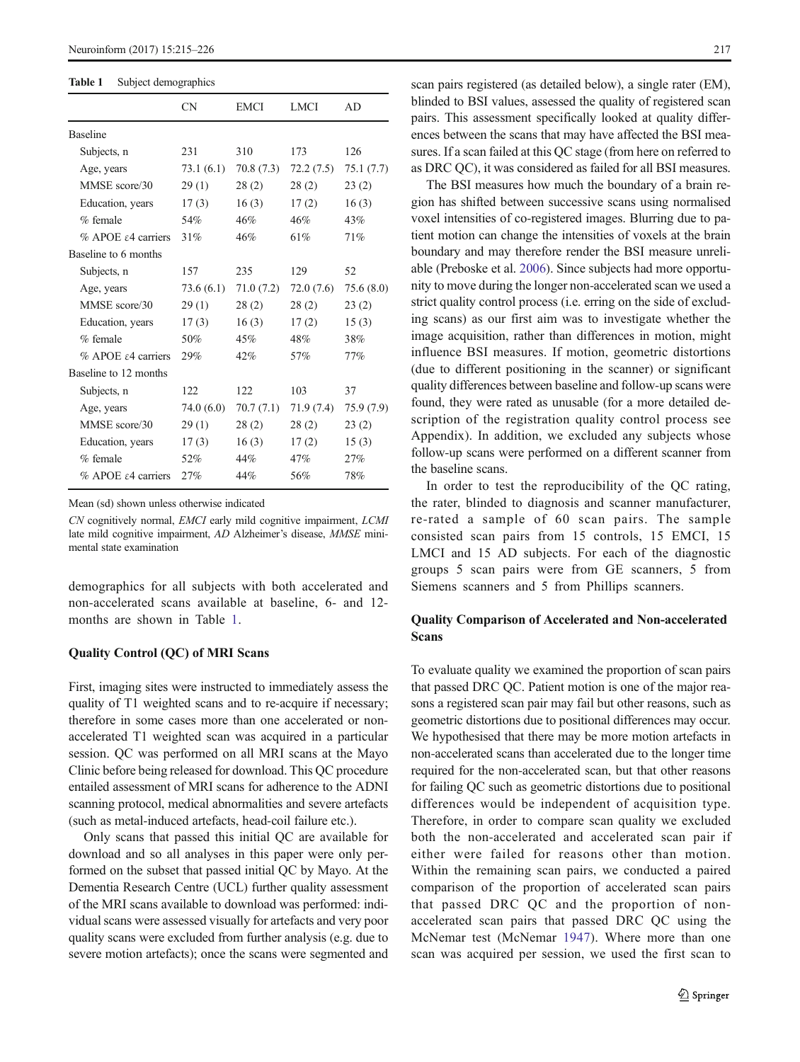#### Table 1 Subject demographics

|                                   | <b>CN</b>  | <b>EMCI</b> | <b>LMCI</b> | AD.       |
|-----------------------------------|------------|-------------|-------------|-----------|
| <b>Baseline</b>                   |            |             |             |           |
| Subjects, n                       | 231        | 310         | 173         | 126       |
| Age, years                        | 73.1 (6.1) | 70.8 (7.3)  | 72.2(7.5)   | 75.1(7.7) |
| MMSE score/30                     | 29(1)      | 28(2)       | 28(2)       | 23(2)     |
| Education, years                  | 17(3)      | 16(3)       | 17(2)       | 16(3)     |
| $%$ female                        | 54%        | 46%         | 46%         | 43%       |
| $%$ APOE $\epsilon$ 4 carriers    | 31%        | 46%         | 61%         | 71%       |
| Baseline to 6 months              |            |             |             |           |
| Subjects, n                       | 157        | 235         | 129         | 52        |
| Age, years                        | 73.6 (6.1) | 71.0 (7.2)  | 72.0 (7.6)  | 75.6(8.0) |
| MMSE score/30                     | 29(1)      | 28(2)       | 28(2)       | 23(2)     |
| Education, years                  | 17(3)      | 16(3)       | 17(2)       | 15(3)     |
| $%$ female                        | 50%        | 45%         | 48%         | 38%       |
| $%$ APOE $\epsilon$ 4 carriers    | 29%        | 42%         | 57%         | 77%       |
| Baseline to 12 months             |            |             |             |           |
| Subjects, n                       | 122        | 122.        | 103         | 37        |
| Age, years                        | 74.0 (6.0) | 70.7(7.1)   | 71.9 (7.4)  | 75.9(7.9) |
| MMSE score/30                     | 29(1)      | 28(2)       | 28(2)       | 23(2)     |
| Education, years                  | 17(3)      | 16(3)       | 17(2)       | 15(3)     |
| $%$ female                        | 52%        | 44%         | 47%         | 27%       |
| $%$ APOE $\varepsilon$ 4 carriers | 27%        | 44%         | 56%         | 78%       |

Mean (sd) shown unless otherwise indicated

CN cognitively normal, EMCI early mild cognitive impairment, LCMI late mild cognitive impairment, AD Alzheimer's disease, MMSE minimental state examination

demographics for all subjects with both accelerated and non-accelerated scans available at baseline, 6- and 12 months are shown in Table 1.

### Quality Control (QC) of MRI Scans

First, imaging sites were instructed to immediately assess the quality of T1 weighted scans and to re-acquire if necessary; therefore in some cases more than one accelerated or nonaccelerated T1 weighted scan was acquired in a particular session. QC was performed on all MRI scans at the Mayo Clinic before being released for download. This QC procedure entailed assessment of MRI scans for adherence to the ADNI scanning protocol, medical abnormalities and severe artefacts (such as metal-induced artefacts, head-coil failure etc.).

Only scans that passed this initial QC are available for download and so all analyses in this paper were only performed on the subset that passed initial QC by Mayo. At the Dementia Research Centre (UCL) further quality assessment of the MRI scans available to download was performed: individual scans were assessed visually for artefacts and very poor quality scans were excluded from further analysis (e.g. due to severe motion artefacts); once the scans were segmented and scan pairs registered (as detailed below), a single rater (EM), blinded to BSI values, assessed the quality of registered scan pairs. This assessment specifically looked at quality differences between the scans that may have affected the BSI measures. If a scan failed at this QC stage (from here on referred to as DRC QC), it was considered as failed for all BSI measures.

The BSI measures how much the boundary of a brain region has shifted between successive scans using normalised voxel intensities of co-registered images. Blurring due to patient motion can change the intensities of voxels at the brain boundary and may therefore render the BSI measure unreliable (Preboske et al. [2006](#page-11-0)). Since subjects had more opportunity to move during the longer non-accelerated scan we used a strict quality control process (i.e. erring on the side of excluding scans) as our first aim was to investigate whether the image acquisition, rather than differences in motion, might influence BSI measures. If motion, geometric distortions (due to different positioning in the scanner) or significant quality differences between baseline and follow-up scans were found, they were rated as unusable (for a more detailed description of the registration quality control process see Appendix). In addition, we excluded any subjects whose follow-up scans were performed on a different scanner from the baseline scans.

In order to test the reproducibility of the QC rating, the rater, blinded to diagnosis and scanner manufacturer, re-rated a sample of 60 scan pairs. The sample consisted scan pairs from 15 controls, 15 EMCI, 15 LMCI and 15 AD subjects. For each of the diagnostic groups 5 scan pairs were from GE scanners, 5 from Siemens scanners and 5 from Phillips scanners.

# Quality Comparison of Accelerated and Non-accelerated Scans

To evaluate quality we examined the proportion of scan pairs that passed DRC QC. Patient motion is one of the major reasons a registered scan pair may fail but other reasons, such as geometric distortions due to positional differences may occur. We hypothesised that there may be more motion artefacts in non-accelerated scans than accelerated due to the longer time required for the non-accelerated scan, but that other reasons for failing QC such as geometric distortions due to positional differences would be independent of acquisition type. Therefore, in order to compare scan quality we excluded both the non-accelerated and accelerated scan pair if either were failed for reasons other than motion. Within the remaining scan pairs, we conducted a paired comparison of the proportion of accelerated scan pairs that passed DRC QC and the proportion of nonaccelerated scan pairs that passed DRC QC using the McNemar test (McNemar [1947\)](#page-11-0). Where more than one scan was acquired per session, we used the first scan to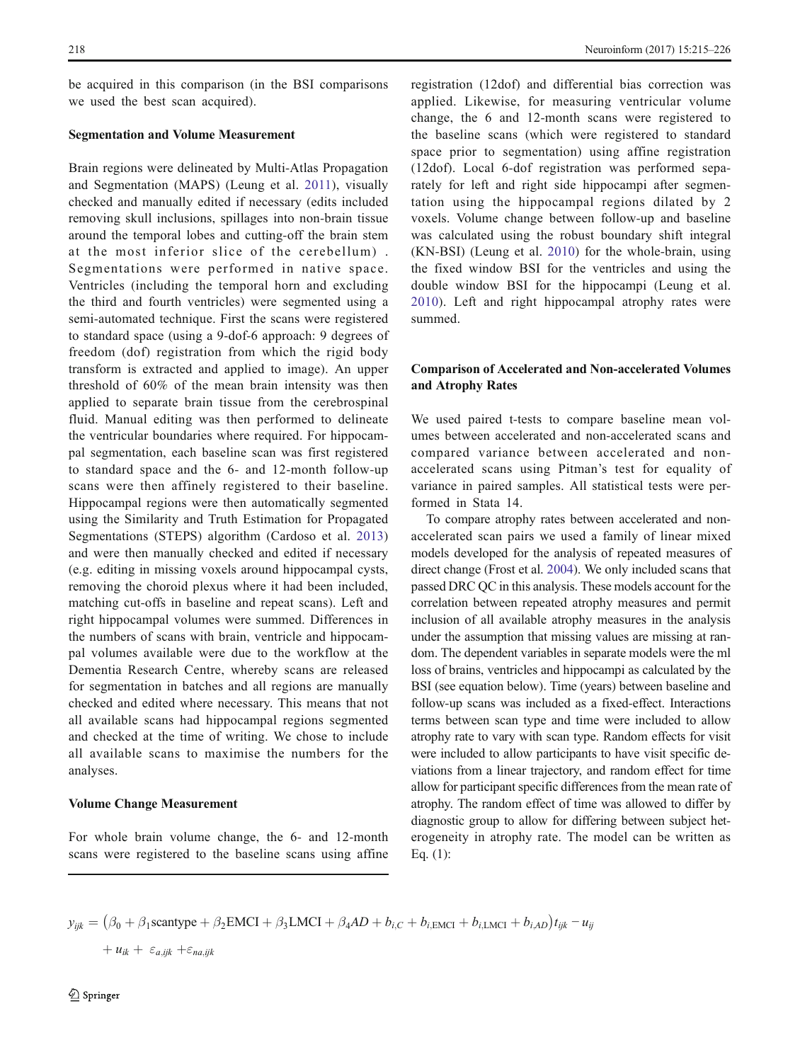be acquired in this comparison (in the BSI comparisons we used the best scan acquired).

#### Segmentation and Volume Measurement

Brain regions were delineated by Multi-Atlas Propagation and Segmentation (MAPS) (Leung et al. [2011](#page-11-0)), visually checked and manually edited if necessary (edits included removing skull inclusions, spillages into non-brain tissue around the temporal lobes and cutting-off the brain stem at the most inferior slice of the cerebellum) . Segmentations were performed in native space. Ventricles (including the temporal horn and excluding the third and fourth ventricles) were segmented using a semi-automated technique. First the scans were registered to standard space (using a 9-dof-6 approach: 9 degrees of freedom (dof) registration from which the rigid body transform is extracted and applied to image). An upper threshold of 60% of the mean brain intensity was then applied to separate brain tissue from the cerebrospinal fluid. Manual editing was then performed to delineate the ventricular boundaries where required. For hippocampal segmentation, each baseline scan was first registered to standard space and the 6- and 12-month follow-up scans were then affinely registered to their baseline. Hippocampal regions were then automatically segmented using the Similarity and Truth Estimation for Propagated Segmentations (STEPS) algorithm (Cardoso et al. [2013\)](#page-10-0) and were then manually checked and edited if necessary (e.g. editing in missing voxels around hippocampal cysts, removing the choroid plexus where it had been included, matching cut-offs in baseline and repeat scans). Left and right hippocampal volumes were summed. Differences in the numbers of scans with brain, ventricle and hippocampal volumes available were due to the workflow at the Dementia Research Centre, whereby scans are released for segmentation in batches and all regions are manually checked and edited where necessary. This means that not all available scans had hippocampal regions segmented and checked at the time of writing. We chose to include all available scans to maximise the numbers for the analyses.

### Volume Change Measurement

For whole brain volume change, the 6- and 12-month scans were registered to the baseline scans using affine registration (12dof) and differential bias correction was applied. Likewise, for measuring ventricular volume change, the 6 and 12-month scans were registered to the baseline scans (which were registered to standard space prior to segmentation) using affine registration (12dof). Local 6-dof registration was performed separately for left and right side hippocampi after segmentation using the hippocampal regions dilated by 2 voxels. Volume change between follow-up and baseline was calculated using the robust boundary shift integral (KN-BSI) (Leung et al. [2010](#page-11-0)) for the whole-brain, using the fixed window BSI for the ventricles and using the double window BSI for the hippocampi (Leung et al. [2010\)](#page-11-0). Left and right hippocampal atrophy rates were summed.

# Comparison of Accelerated and Non-accelerated Volumes and Atrophy Rates

We used paired t-tests to compare baseline mean volumes between accelerated and non-accelerated scans and compared variance between accelerated and nonaccelerated scans using Pitman's test for equality of variance in paired samples. All statistical tests were performed in Stata 14.

To compare atrophy rates between accelerated and nonaccelerated scan pairs we used a family of linear mixed models developed for the analysis of repeated measures of direct change (Frost et al. [2004\)](#page-11-0). We only included scans that passed DRC QC in this analysis. These models account for the correlation between repeated atrophy measures and permit inclusion of all available atrophy measures in the analysis under the assumption that missing values are missing at random. The dependent variables in separate models were the ml loss of brains, ventricles and hippocampi as calculated by the BSI (see equation below). Time (years) between baseline and follow-up scans was included as a fixed-effect. Interactions terms between scan type and time were included to allow atrophy rate to vary with scan type. Random effects for visit were included to allow participants to have visit specific deviations from a linear trajectory, and random effect for time allow for participant specific differences from the mean rate of atrophy. The random effect of time was allowed to differ by diagnostic group to allow for differing between subject heterogeneity in atrophy rate. The model can be written as Eq. (1):

$$
y_{ijk} = (\beta_0 + \beta_1 \text{scantype} + \beta_2 \text{EMCI} + \beta_3 \text{LMCI} + \beta_4 \text{AD} + b_{i,C} + b_{i,\text{EMCI}} + b_{i,\text{LMCI}} + b_{i,\text{AD}}) t_{ijk} - u_{ij}
$$

 $+ u_{ik} + \varepsilon_{a,ijk} + \varepsilon_{na,ijk}$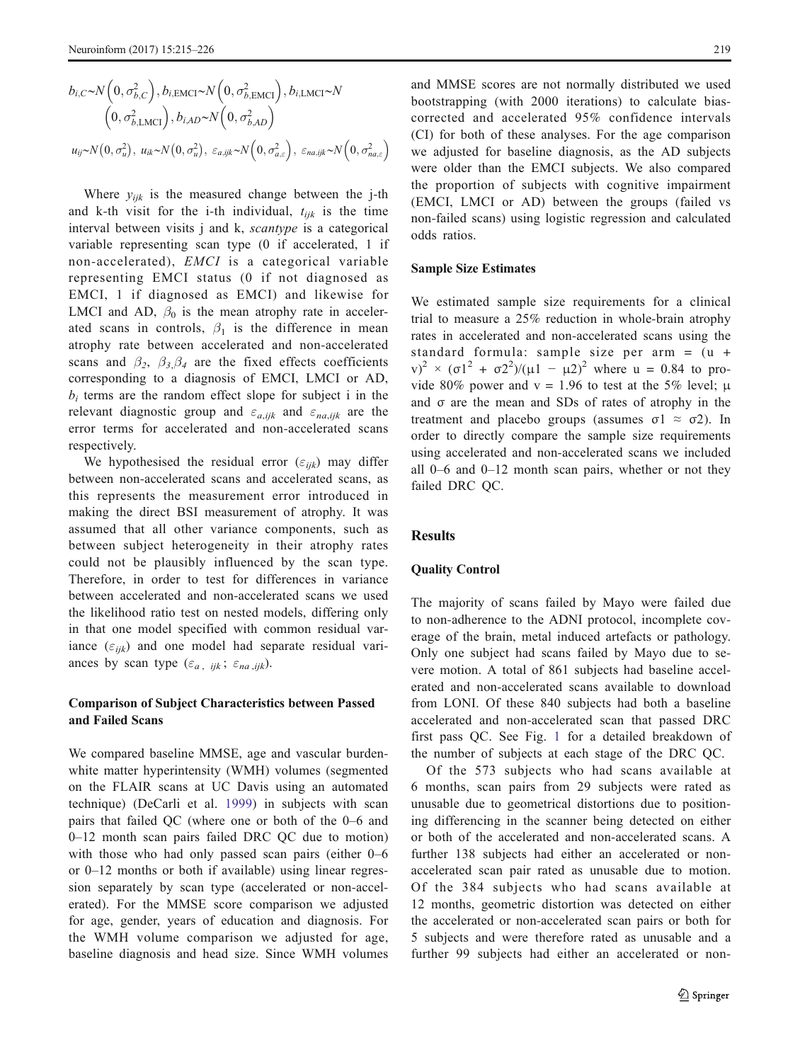$$
b_{i,C} \sim N\left(0, \sigma_{b,C}^2\right), b_{i, \text{EMCI}} \sim N\left(0, \sigma_{b, \text{EMCI}}^2\right), b_{i, \text{LMCI}} \sim N\left(0, \sigma_{b, \text{AMCI}}^2\right)
$$

$$
\left(0, \sigma_{b, \text{LMCI}}^2\right), b_{i, \text{AD}} \sim N\left(0, \sigma_{b, \text{AD}}^2\right)
$$

$$
u_{ij} \sim N\left(0, \sigma_u^2\right), u_{ik} \sim N\left(0, \sigma_u^2\right), \varepsilon_{a, ijk} \sim N\left(0, \sigma_{a,\varepsilon}^2\right), \varepsilon_{na, ijk} \sim N\left(0, \sigma_{na,\varepsilon}^2\right)
$$

Where  $y_{ijk}$  is the measured change between the j-th and k-th visit for the i-th individual,  $t_{ijk}$  is the time interval between visits j and k, *scantype* is a categorical variable representing scan type (0 if accelerated, 1 if non-accelerated), EMCI is a categorical variable representing EMCI status (0 if not diagnosed as EMCI, 1 if diagnosed as EMCI) and likewise for LMCI and AD,  $\beta_0$  is the mean atrophy rate in accelerated scans in controls,  $\beta_1$  is the difference in mean atrophy rate between accelerated and non-accelerated scans and  $\beta_2$ ,  $\beta_3 \beta_4$  are the fixed effects coefficients corresponding to a diagnosis of EMCI, LMCI or AD,  $b_i$  terms are the random effect slope for subject i in the relevant diagnostic group and  $\varepsilon_{a,ijk}$  and  $\varepsilon_{na,ijk}$  are the error terms for accelerated and non-accelerated scans respectively.

We hypothesised the residual error  $(\varepsilon_{ijk})$  may differ between non-accelerated scans and accelerated scans, as this represents the measurement error introduced in making the direct BSI measurement of atrophy. It was assumed that all other variance components, such as between subject heterogeneity in their atrophy rates could not be plausibly influenced by the scan type. Therefore, in order to test for differences in variance between accelerated and non-accelerated scans we used the likelihood ratio test on nested models, differing only in that one model specified with common residual variance  $(\varepsilon_{ijk})$  and one model had separate residual variances by scan type  $(\varepsilon_a, ijk; \varepsilon_{na}, ijk)$ .

# Comparison of Subject Characteristics between Passed and Failed Scans

We compared baseline MMSE, age and vascular burdenwhite matter hyperintensity (WMH) volumes (segmented on the FLAIR scans at UC Davis using an automated technique) (DeCarli et al. [1999\)](#page-10-0) in subjects with scan pairs that failed QC (where one or both of the 0–6 and 0–12 month scan pairs failed DRC QC due to motion) with those who had only passed scan pairs (either 0–6 or 0–12 months or both if available) using linear regression separately by scan type (accelerated or non-accelerated). For the MMSE score comparison we adjusted for age, gender, years of education and diagnosis. For the WMH volume comparison we adjusted for age, baseline diagnosis and head size. Since WMH volumes and MMSE scores are not normally distributed we used bootstrapping (with 2000 iterations) to calculate biascorrected and accelerated 95% confidence intervals (CI) for both of these analyses. For the age comparison we adjusted for baseline diagnosis, as the AD subjects were older than the EMCI subjects. We also compared the proportion of subjects with cognitive impairment (EMCI, LMCI or AD) between the groups (failed vs non-failed scans) using logistic regression and calculated odds ratios.

#### Sample Size Estimates

We estimated sample size requirements for a clinical trial to measure a 25% reduction in whole-brain atrophy rates in accelerated and non-accelerated scans using the standard formula: sample size per arm = (u + v)<sup>2</sup> × (σ1<sup>2</sup> + σ2<sup>2</sup>)/(μ1 - μ2)<sup>2</sup> where u = 0.84 to provide 80% power and v = 1.96 to test at the 5% level;  $\mu$ and σ are the mean and SDs of rates of atrophy in the treatment and placebo groups (assumes  $\sigma$ 1  $\approx$   $\sigma$ 2). In order to directly compare the sample size requirements using accelerated and non-accelerated scans we included all 0–6 and 0–12 month scan pairs, whether or not they failed DRC QC.

# **Results**

### Quality Control

The majority of scans failed by Mayo were failed due to non-adherence to the ADNI protocol, incomplete coverage of the brain, metal induced artefacts or pathology. Only one subject had scans failed by Mayo due to severe motion. A total of 861 subjects had baseline accelerated and non-accelerated scans available to download from LONI. Of these 840 subjects had both a baseline accelerated and non-accelerated scan that passed DRC first pass QC. See Fig. [1](#page-5-0) for a detailed breakdown of the number of subjects at each stage of the DRC QC.

Of the 573 subjects who had scans available at 6 months, scan pairs from 29 subjects were rated as unusable due to geometrical distortions due to positioning differencing in the scanner being detected on either or both of the accelerated and non-accelerated scans. A further 138 subjects had either an accelerated or nonaccelerated scan pair rated as unusable due to motion. Of the 384 subjects who had scans available at 12 months, geometric distortion was detected on either the accelerated or non-accelerated scan pairs or both for 5 subjects and were therefore rated as unusable and a further 99 subjects had either an accelerated or non-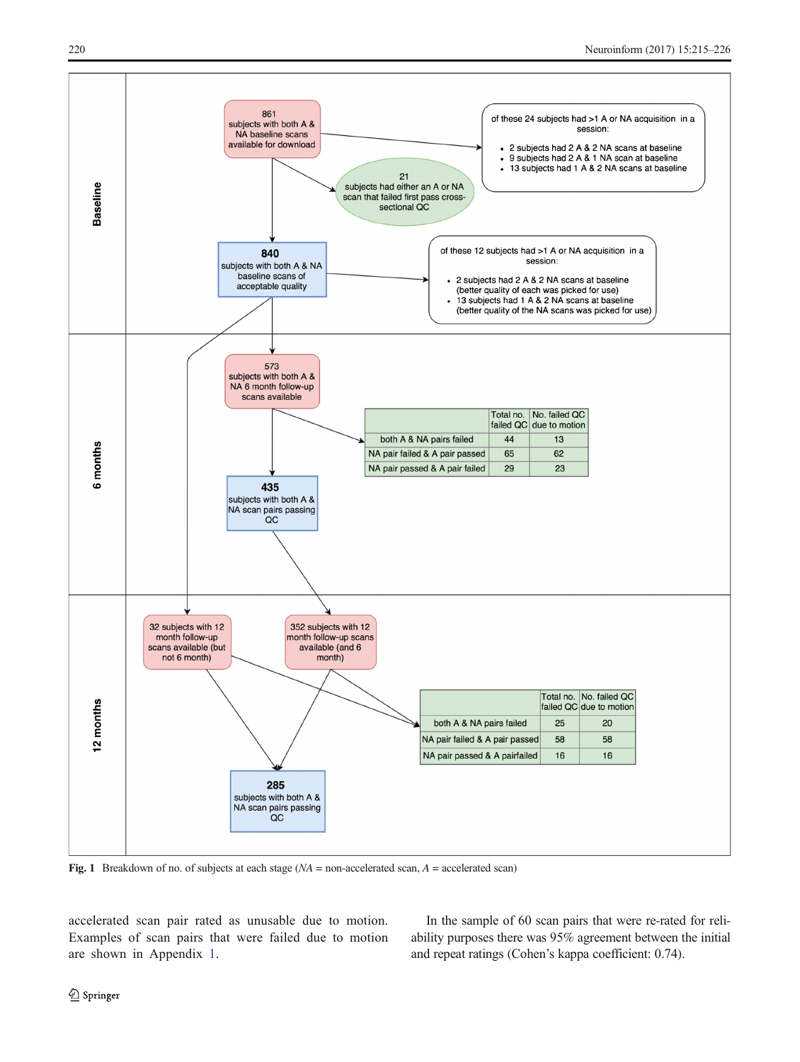<span id="page-5-0"></span>

Fig. 1 Breakdown of no. of subjects at each stage  $(NA =$  non-accelerated scan,  $A =$  accelerated scan)

accelerated scan pair rated as unusable due to motion. Examples of scan pairs that were failed due to motion are shown in Appendix 1.

In the sample of 60 scan pairs that were re-rated for reliability purposes there was 95% agreement between the initial and repeat ratings (Cohen's kappa coefficient: 0.74).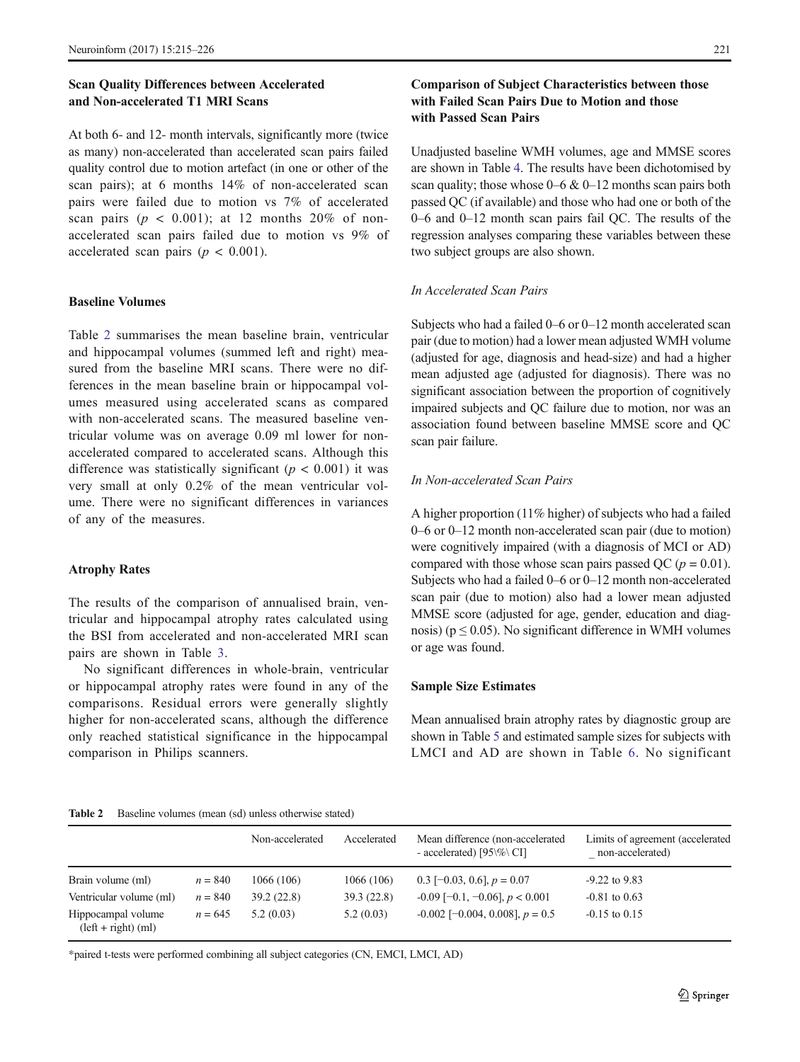# Scan Quality Differences between Accelerated and Non-accelerated T1 MRI Scans

At both 6- and 12- month intervals, significantly more (twice as many) non-accelerated than accelerated scan pairs failed quality control due to motion artefact (in one or other of the scan pairs); at 6 months 14% of non-accelerated scan pairs were failed due to motion vs 7% of accelerated scan pairs ( $p < 0.001$ ); at 12 months 20% of nonaccelerated scan pairs failed due to motion vs 9% of accelerated scan pairs ( $p < 0.001$ ).

# Baseline Volumes

Table 2 summarises the mean baseline brain, ventricular and hippocampal volumes (summed left and right) measured from the baseline MRI scans. There were no differences in the mean baseline brain or hippocampal volumes measured using accelerated scans as compared with non-accelerated scans. The measured baseline ventricular volume was on average 0.09 ml lower for nonaccelerated compared to accelerated scans. Although this difference was statistically significant ( $p < 0.001$ ) it was very small at only 0.2% of the mean ventricular volume. There were no significant differences in variances of any of the measures.

### Atrophy Rates

The results of the comparison of annualised brain, ventricular and hippocampal atrophy rates calculated using the BSI from accelerated and non-accelerated MRI scan pairs are shown in Table [3](#page-7-0).

No significant differences in whole-brain, ventricular or hippocampal atrophy rates were found in any of the comparisons. Residual errors were generally slightly higher for non-accelerated scans, although the difference only reached statistical significance in the hippocampal comparison in Philips scanners.

# Comparison of Subject Characteristics between those with Failed Scan Pairs Due to Motion and those with Passed Scan Pairs

Unadjusted baseline WMH volumes, age and MMSE scores are shown in Table [4](#page-8-0). The results have been dichotomised by scan quality; those whose  $0-6 \& 0-12$  months scan pairs both passed QC (if available) and those who had one or both of the 0–6 and 0–12 month scan pairs fail QC. The results of the regression analyses comparing these variables between these two subject groups are also shown.

### In Accelerated Scan Pairs

Subjects who had a failed 0–6 or 0–12 month accelerated scan pair (due to motion) had a lower mean adjusted WMH volume (adjusted for age, diagnosis and head-size) and had a higher mean adjusted age (adjusted for diagnosis). There was no significant association between the proportion of cognitively impaired subjects and QC failure due to motion, nor was an association found between baseline MMSE score and QC scan pair failure.

#### In Non-accelerated Scan Pairs

A higher proportion (11% higher) of subjects who had a failed 0–6 or 0–12 month non-accelerated scan pair (due to motion) were cognitively impaired (with a diagnosis of MCI or AD) compared with those whose scan pairs passed QC ( $p = 0.01$ ). Subjects who had a failed 0–6 or 0–12 month non-accelerated scan pair (due to motion) also had a lower mean adjusted MMSE score (adjusted for age, gender, education and diagnosis) ( $p \le 0.05$ ). No significant difference in WMH volumes or age was found.

# Sample Size Estimates

Mean annualised brain atrophy rates by diagnostic group are shown in Table [5](#page-8-0) and estimated sample sizes for subjects with LMCI and AD are shown in Table [6](#page-9-0). No significant

| <b>Table 2</b> | Baseline volumes (mean (sd) unless otherwise stated) |  |  |  |  |
|----------------|------------------------------------------------------|--|--|--|--|
|----------------|------------------------------------------------------|--|--|--|--|

|                                             |           | Non-accelerated | Accelerated | Mean difference (non-accelerated<br>- accelerated) [ $95\%$ CI] | Limits of agreement (accelerated<br>non-accelerated) |
|---------------------------------------------|-----------|-----------------|-------------|-----------------------------------------------------------------|------------------------------------------------------|
| Brain volume (ml)                           | $n = 840$ | 1066 (106)      | 1066 (106)  | 0.3 [-0.03, 0.6], $p = 0.07$                                    | $-9.22$ to $9.83$                                    |
| Ventricular volume (ml)                     | $n = 840$ | 39.2(22.8)      | 39.3(22.8)  | $-0.09$ [-0.1, -0.06], $p < 0.001$                              | $-0.81$ to $0.63$                                    |
| Hippocampal volume<br>$(left + right) (ml)$ | $n = 645$ | 5.2(0.03)       | 5.2(0.03)   | $-0.002$ [ $-0.004$ , 0.008], $p = 0.5$                         | $-0.15$ to $0.15$                                    |

\*paired t-tests were performed combining all subject categories (CN, EMCI, LMCI, AD)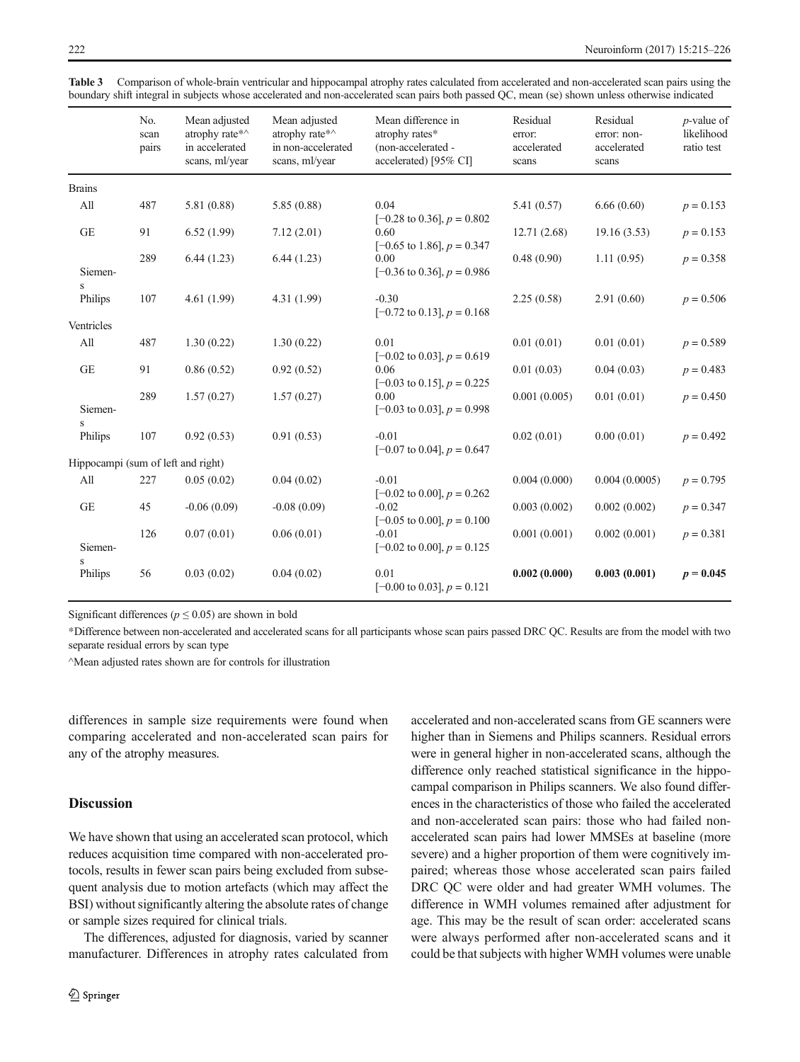|                                    | No.<br>scan<br>pairs | Mean adjusted<br>atrophy rate*^<br>in accelerated<br>scans, ml/year | Mean adjusted<br>atrophy rate*^<br>in non-accelerated<br>scans, ml/year | Mean difference in<br>atrophy rates*<br>(non-accelerated -<br>accelerated) [95% CI] | Residual<br>error:<br>accelerated<br>scans | Residual<br>error: non-<br>accelerated<br>scans | $p$ -value of<br>likelihood<br>ratio test |
|------------------------------------|----------------------|---------------------------------------------------------------------|-------------------------------------------------------------------------|-------------------------------------------------------------------------------------|--------------------------------------------|-------------------------------------------------|-------------------------------------------|
| <b>Brains</b>                      |                      |                                                                     |                                                                         |                                                                                     |                                            |                                                 |                                           |
| All                                | 487                  | 5.81 (0.88)                                                         | 5.85(0.88)                                                              | 0.04<br>$[-0.28 \text{ to } 0.36]$ , $p = 0.802$                                    | 5.41(0.57)                                 | 6.66(0.60)                                      | $p = 0.153$                               |
| <b>GE</b>                          | 91                   | 6.52(1.99)                                                          | 7.12(2.01)                                                              | 0.60<br>$[-0.65 \text{ to } 1.86]$ , $p = 0.347$                                    | 12.71(2.68)                                | 19.16(3.53)                                     | $p = 0.153$                               |
| Siemen-                            | 289                  | 6.44(1.23)                                                          | 6.44(1.23)                                                              | 0.00<br>$[-0.36 \text{ to } 0.36], p = 0.986$                                       | 0.48(0.90)                                 | 1.11(0.95)                                      | $p = 0.358$                               |
| S<br>Philips                       | 107                  | 4.61(1.99)                                                          | 4.31 (1.99)                                                             | $-0.30$<br>$[-0.72 \text{ to } 0.13]$ , $p = 0.168$                                 | 2.25(0.58)                                 | 2.91(0.60)                                      | $p = 0.506$                               |
| Ventricles                         |                      |                                                                     |                                                                         |                                                                                     |                                            |                                                 |                                           |
| All                                | 487                  | 1.30(0.22)                                                          | 1.30(0.22)                                                              | 0.01<br>$[-0.02 \text{ to } 0.03]$ , $p = 0.619$                                    | 0.01(0.01)                                 | 0.01(0.01)                                      | $p = 0.589$                               |
| <b>GE</b>                          | 91                   | 0.86(0.52)                                                          | 0.92(0.52)                                                              | 0.06<br>$[-0.03 \text{ to } 0.15]$ , $p = 0.225$                                    | 0.01(0.03)                                 | 0.04(0.03)                                      | $p = 0.483$                               |
| Siemen-<br>S                       | 289                  | 1.57(0.27)                                                          | 1.57(0.27)                                                              | 0.00<br>$[-0.03 \text{ to } 0.03]$ , $p = 0.998$                                    | 0.001(0.005)                               | 0.01(0.01)                                      | $p = 0.450$                               |
| Philips                            | 107                  | 0.92(0.53)                                                          | 0.91(0.53)                                                              | $-0.01$<br>$[-0.07 \text{ to } 0.04]$ , $p = 0.647$                                 | 0.02(0.01)                                 | 0.00(0.01)                                      | $p = 0.492$                               |
| Hippocampi (sum of left and right) |                      |                                                                     |                                                                         |                                                                                     |                                            |                                                 |                                           |
| All                                | 227                  | 0.05(0.02)                                                          | 0.04(0.02)                                                              | $-0.01$<br>$[-0.02 \text{ to } 0.00], p = 0.262$                                    | 0.004(0.000)                               | 0.004(0.0005)                                   | $p = 0.795$                               |
| <b>GE</b>                          | 45                   | $-0.06(0.09)$                                                       | $-0.08(0.09)$                                                           | $-0.02$<br>$[-0.05 \text{ to } 0.00], p = 0.100$                                    | 0.003(0.002)                               | 0.002(0.002)                                    | $p = 0.347$                               |
| Siemen-<br>S                       | 126                  | 0.07(0.01)                                                          | 0.06(0.01)                                                              | $-0.01$<br>$[-0.02 \text{ to } 0.00], p = 0.125$                                    | 0.001(0.001)                               | 0.002(0.001)                                    | $p = 0.381$                               |
| Philips                            | 56                   | 0.03(0.02)                                                          | 0.04(0.02)                                                              | 0.01<br>$[-0.00 \text{ to } 0.03]$ , $p = 0.121$                                    | 0.002(0.000)                               | 0.003(0.001)                                    | $p = 0.045$                               |

<span id="page-7-0"></span>Table 3 Comparison of whole-brain ventricular and hippocampal atrophy rates calculated from accelerated and non-accelerated scan pairs using the boundary shift integral in subjects whose accelerated and non-accelerated scan pairs both passed QC, mean (se) shown unless otherwise indicated

Significant differences ( $p \le 0.05$ ) are shown in bold

\*Difference between non-accelerated and accelerated scans for all participants whose scan pairs passed DRC QC. Results are from the model with two separate residual errors by scan type

^Mean adjusted rates shown are for controls for illustration

differences in sample size requirements were found when comparing accelerated and non-accelerated scan pairs for any of the atrophy measures.

# **Discussion**

We have shown that using an accelerated scan protocol, which reduces acquisition time compared with non-accelerated protocols, results in fewer scan pairs being excluded from subsequent analysis due to motion artefacts (which may affect the BSI) without significantly altering the absolute rates of change or sample sizes required for clinical trials.

The differences, adjusted for diagnosis, varied by scanner manufacturer. Differences in atrophy rates calculated from accelerated and non-accelerated scans from GE scanners were higher than in Siemens and Philips scanners. Residual errors were in general higher in non-accelerated scans, although the difference only reached statistical significance in the hippocampal comparison in Philips scanners. We also found differences in the characteristics of those who failed the accelerated and non-accelerated scan pairs: those who had failed nonaccelerated scan pairs had lower MMSEs at baseline (more severe) and a higher proportion of them were cognitively impaired; whereas those whose accelerated scan pairs failed DRC QC were older and had greater WMH volumes. The difference in WMH volumes remained after adjustment for age. This may be the result of scan order: accelerated scans were always performed after non-accelerated scans and it could be that subjects with higher WMH volumes were unable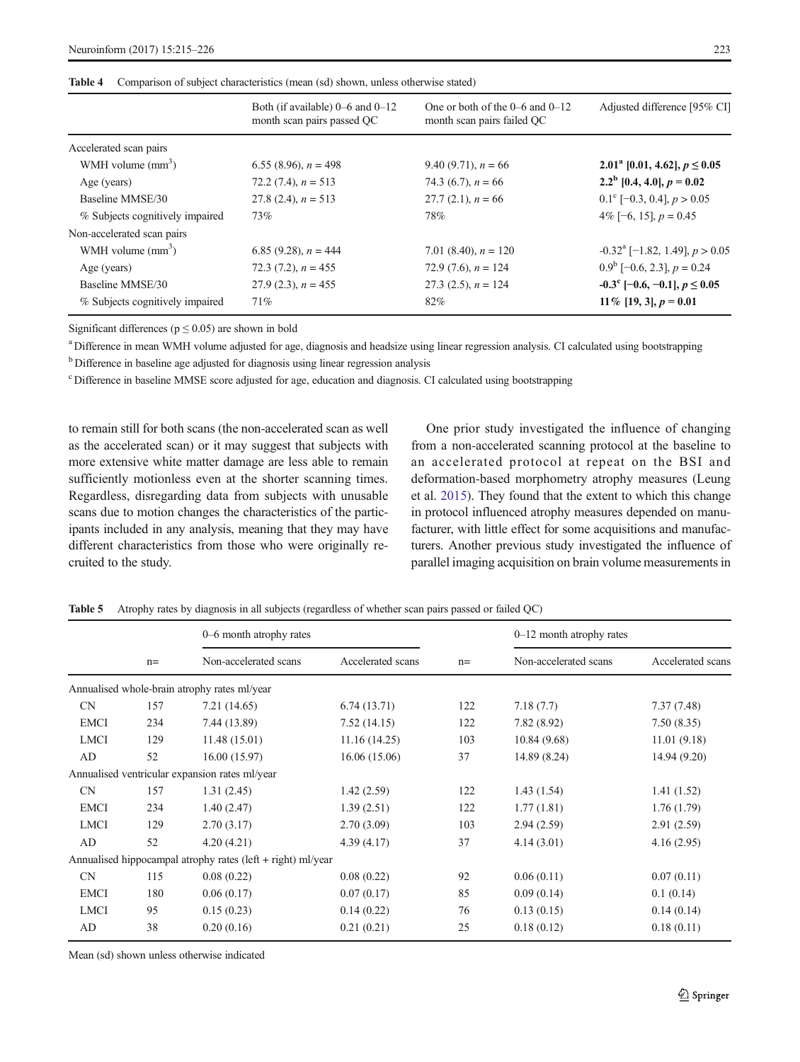<span id="page-8-0"></span>

|  |  | Table 4 Comparison of subject characteristics (mean (sd) shown, unless otherwise stated) |  |
|--|--|------------------------------------------------------------------------------------------|--|
|--|--|------------------------------------------------------------------------------------------|--|

|                                 | Both (if available) $0-6$ and $0-12$<br>month scan pairs passed QC | One or both of the $0-6$ and $0-12$<br>month scan pairs failed QC | Adjusted difference [95% CI]                 |
|---------------------------------|--------------------------------------------------------------------|-------------------------------------------------------------------|----------------------------------------------|
| Accelerated scan pairs          |                                                                    |                                                                   |                                              |
| WMH volume $(mm3)$              | 6.55 (8.96), $n = 498$                                             | 9.40 (9.71), $n = 66$                                             | 2.01 <sup>a</sup> [0.01, 4.62], $p \le 0.05$ |
| Age (years)                     | 72.2 $(7.4)$ , $n = 513$                                           | 74.3 (6.7), $n = 66$                                              | $2.2^{\mathrm{b}}$ [0.4, 4.0], $p = 0.02$    |
| Baseline MMSE/30                | 27.8 (2.4), $n = 513$                                              | $27.7(2.1), n = 66$                                               | $0.1^{\circ}$ [-0.3, 0.4], $p > 0.05$        |
| % Subjects cognitively impaired | 73%                                                                | 78%                                                               | 4\% $[-6, 15]$ , $p = 0.45$                  |
| Non-accelerated scan pairs      |                                                                    |                                                                   |                                              |
| WMH volume $(mm3)$              | 6.85 (9.28), $n = 444$                                             | 7.01 (8.40), $n = 120$                                            | $-0.32^{\text{a}}$ [-1.82, 1.49], $p > 0.05$ |
| Age (years)                     | 72.3 $(7.2)$ , $n = 455$                                           | 72.9 $(7.6)$ , $n = 124$                                          | $0.9^b$ [-0.6, 2.3], $p = 0.24$              |
| Baseline MMSE/30                | $27.9(2.3)$ , $n = 455$                                            | 27.3 $(2.5)$ , $n = 124$                                          | $-0.3^{\circ}$ [-0.6, -0.1], $p \le 0.05$    |
| % Subjects cognitively impaired | $71\%$                                                             | 82%                                                               | $11\%$ [19, 3], $p = 0.01$                   |

Significant differences ( $p \le 0.05$ ) are shown in bold

<sup>a</sup> Difference in mean WMH volume adjusted for age, diagnosis and headsize using linear regression analysis. CI calculated using bootstrapping

<sup>b</sup> Difference in baseline age adjusted for diagnosis using linear regression analysis

<sup>c</sup> Difference in baseline MMSE score adjusted for age, education and diagnosis. CI calculated using bootstrapping

to remain still for both scans (the non-accelerated scan as well as the accelerated scan) or it may suggest that subjects with more extensive white matter damage are less able to remain sufficiently motionless even at the shorter scanning times. Regardless, disregarding data from subjects with unusable scans due to motion changes the characteristics of the participants included in any analysis, meaning that they may have different characteristics from those who were originally recruited to the study.

One prior study investigated the influence of changing from a non-accelerated scanning protocol at the baseline to an accelerated protocol at repeat on the BSI and deformation-based morphometry atrophy measures (Leung et al. [2015\)](#page-11-0). They found that the extent to which this change in protocol influenced atrophy measures depended on manufacturer, with little effect for some acquisitions and manufacturers. Another previous study investigated the influence of parallel imaging acquisition on brain volume measurements in

Table 5 Atrophy rates by diagnosis in all subjects (regardless of whether scan pairs passed or failed QC)

|             |       | 0–6 month atrophy rates                                     |                   |      | $0-12$ month atrophy rates |                   |
|-------------|-------|-------------------------------------------------------------|-------------------|------|----------------------------|-------------------|
|             | $n =$ | Non-accelerated scans                                       | Accelerated scans | $n=$ | Non-accelerated scans      | Accelerated scans |
|             |       | Annualised whole-brain atrophy rates ml/year                |                   |      |                            |                   |
| <b>CN</b>   | 157   | 7.21 (14.65)                                                | 6.74(13.71)       | 122  | 7.18(7.7)                  | 7.37(7.48)        |
| <b>EMCI</b> | 234   | 7.44 (13.89)                                                | 7.52(14.15)       | 122  | 7.82(8.92)                 | 7.50(8.35)        |
| <b>LMCI</b> | 129   | 11.48(15.01)                                                | 11.16(14.25)      | 103  | 10.84(9.68)                | 11.01(9.18)       |
| AD          | 52    | 16.00(15.97)                                                | 16.06(15.06)      | 37   | 14.89 (8.24)               | 14.94 (9.20)      |
|             |       | Annualised ventricular expansion rates ml/year              |                   |      |                            |                   |
| CN          | 157   | 1.31(2.45)                                                  | 1.42(2.59)        | 122  | 1.43(1.54)                 | 1.41(1.52)        |
| <b>EMCI</b> | 234   | 1.40(2.47)                                                  | 1.39(2.51)        | 122  | 1.77(1.81)                 | 1.76(1.79)        |
| <b>LMCI</b> | 129   | 2.70(3.17)                                                  | 2.70(3.09)        | 103  | 2.94(2.59)                 | 2.91(2.59)        |
| AD          | 52    | 4.20(4.21)                                                  | 4.39(4.17)        | 37   | 4.14(3.01)                 | 4.16(2.95)        |
|             |       | Annualised hippocampal atrophy rates (left + right) ml/year |                   |      |                            |                   |
| CN          | 115   | 0.08(0.22)                                                  | 0.08(0.22)        | 92   | 0.06(0.11)                 | 0.07(0.11)        |
| <b>EMCI</b> | 180   | 0.06(0.17)                                                  | 0.07(0.17)        | 85   | 0.09(0.14)                 | 0.1(0.14)         |
| <b>LMCI</b> | 95    | 0.15(0.23)                                                  | 0.14(0.22)        | 76   | 0.13(0.15)                 | 0.14(0.14)        |
| AD          | 38    | 0.20(0.16)                                                  | 0.21(0.21)        | 25   | 0.18(0.12)                 | 0.18(0.11)        |

Mean (sd) shown unless otherwise indicated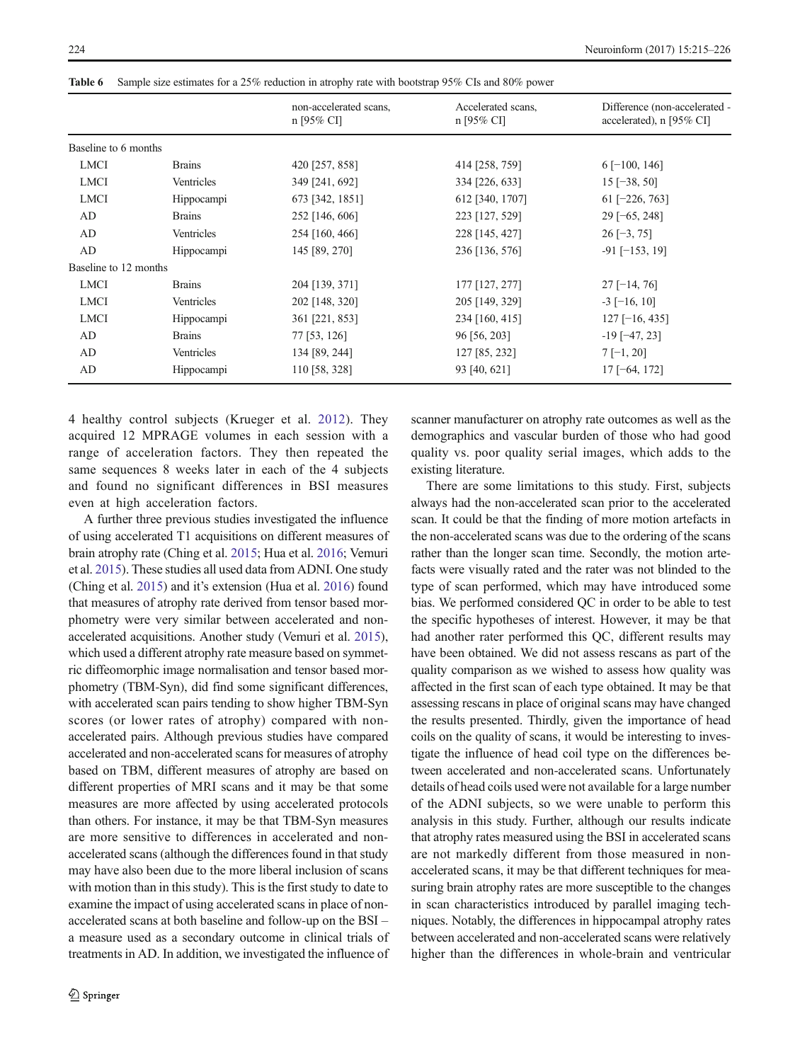<span id="page-9-0"></span>Table 6 Sample size estimates for a 25% reduction in atrophy rate with bootstrap 95% CIs and 80% power

|                       |               | non-accelerated scans,<br>$n$ [95% CI] | Accelerated scans,<br>$n$ [95% CI] | Difference (non-accelerated -<br>accelerated), n [95% CI] |
|-----------------------|---------------|----------------------------------------|------------------------------------|-----------------------------------------------------------|
| Baseline to 6 months  |               |                                        |                                    |                                                           |
| <b>LMCI</b>           | <b>Brains</b> | 420 [257, 858]                         | 414 [258, 759]                     | $6$ [-100, 146]                                           |
| <b>LMCI</b>           | Ventricles    | 349 [241, 692]                         | 334 [226, 633]                     | $15$ [-38, 50]                                            |
| <b>LMCI</b>           | Hippocampi    | 673 [342, 1851]                        | 612 [340, 1707]                    | $61$ [-226, 763]                                          |
| AD                    | <b>Brains</b> | 252 [146, 606]                         | 223 [127, 529]                     | $29$ [-65, 248]                                           |
| AD                    | Ventricles    | 254 [160, 466]                         | 228 [145, 427]                     | $26$ [-3, 75]                                             |
| AD                    | Hippocampi    | 145 [89, 270]                          | 236 [136, 576]                     | $-91$ [ $-153$ , 19]                                      |
| Baseline to 12 months |               |                                        |                                    |                                                           |
| <b>LMCI</b>           | <b>Brains</b> | 204 [139, 371]                         | 177 [127, 277]                     | $27$ [-14, 76]                                            |
| <b>LMCI</b>           | Ventricles    | 202 [148, 320]                         | 205 [149, 329]                     | $-3$ [-16, 10]                                            |
| <b>LMCI</b>           | Hippocampi    | 361 [221, 853]                         | 234 [160, 415]                     | $127$ [-16, 435]                                          |
| AD                    | <b>Brains</b> | 77 [53, 126]                           | 96 [56, 203]                       | $-19$ [ $-47, 23$ ]                                       |
| AD                    | Ventricles    | 134 [89, 244]                          | 127 [85, 232]                      | $7[-1, 20]$                                               |
| AD                    | Hippocampi    | 110 [58, 328]                          | 93 [40, 621]                       | $17[-64, 172]$                                            |

4 healthy control subjects (Krueger et al. [2012](#page-11-0)). They acquired 12 MPRAGE volumes in each session with a range of acceleration factors. They then repeated the same sequences 8 weeks later in each of the 4 subjects and found no significant differences in BSI measures even at high acceleration factors.

A further three previous studies investigated the influence of using accelerated T1 acquisitions on different measures of brain atrophy rate (Ching et al. [2015;](#page-10-0) Hua et al. [2016;](#page-11-0) Vemuri et al. [2015\)](#page-11-0). These studies all used data from ADNI. One study (Ching et al. [2015](#page-10-0)) and it's extension (Hua et al. [2016\)](#page-11-0) found that measures of atrophy rate derived from tensor based morphometry were very similar between accelerated and nonaccelerated acquisitions. Another study (Vemuri et al. [2015\)](#page-11-0), which used a different atrophy rate measure based on symmetric diffeomorphic image normalisation and tensor based morphometry (TBM-Syn), did find some significant differences, with accelerated scan pairs tending to show higher TBM-Syn scores (or lower rates of atrophy) compared with nonaccelerated pairs. Although previous studies have compared accelerated and non-accelerated scans for measures of atrophy based on TBM, different measures of atrophy are based on different properties of MRI scans and it may be that some measures are more affected by using accelerated protocols than others. For instance, it may be that TBM-Syn measures are more sensitive to differences in accelerated and nonaccelerated scans (although the differences found in that study may have also been due to the more liberal inclusion of scans with motion than in this study). This is the first study to date to examine the impact of using accelerated scans in place of nonaccelerated scans at both baseline and follow-up on the BSI – a measure used as a secondary outcome in clinical trials of treatments in AD. In addition, we investigated the influence of scanner manufacturer on atrophy rate outcomes as well as the demographics and vascular burden of those who had good quality vs. poor quality serial images, which adds to the existing literature.

There are some limitations to this study. First, subjects always had the non-accelerated scan prior to the accelerated scan. It could be that the finding of more motion artefacts in the non-accelerated scans was due to the ordering of the scans rather than the longer scan time. Secondly, the motion artefacts were visually rated and the rater was not blinded to the type of scan performed, which may have introduced some bias. We performed considered QC in order to be able to test the specific hypotheses of interest. However, it may be that had another rater performed this QC, different results may have been obtained. We did not assess rescans as part of the quality comparison as we wished to assess how quality was affected in the first scan of each type obtained. It may be that assessing rescans in place of original scans may have changed the results presented. Thirdly, given the importance of head coils on the quality of scans, it would be interesting to investigate the influence of head coil type on the differences between accelerated and non-accelerated scans. Unfortunately details of head coils used were not available for a large number of the ADNI subjects, so we were unable to perform this analysis in this study. Further, although our results indicate that atrophy rates measured using the BSI in accelerated scans are not markedly different from those measured in nonaccelerated scans, it may be that different techniques for measuring brain atrophy rates are more susceptible to the changes in scan characteristics introduced by parallel imaging techniques. Notably, the differences in hippocampal atrophy rates between accelerated and non-accelerated scans were relatively higher than the differences in whole-brain and ventricular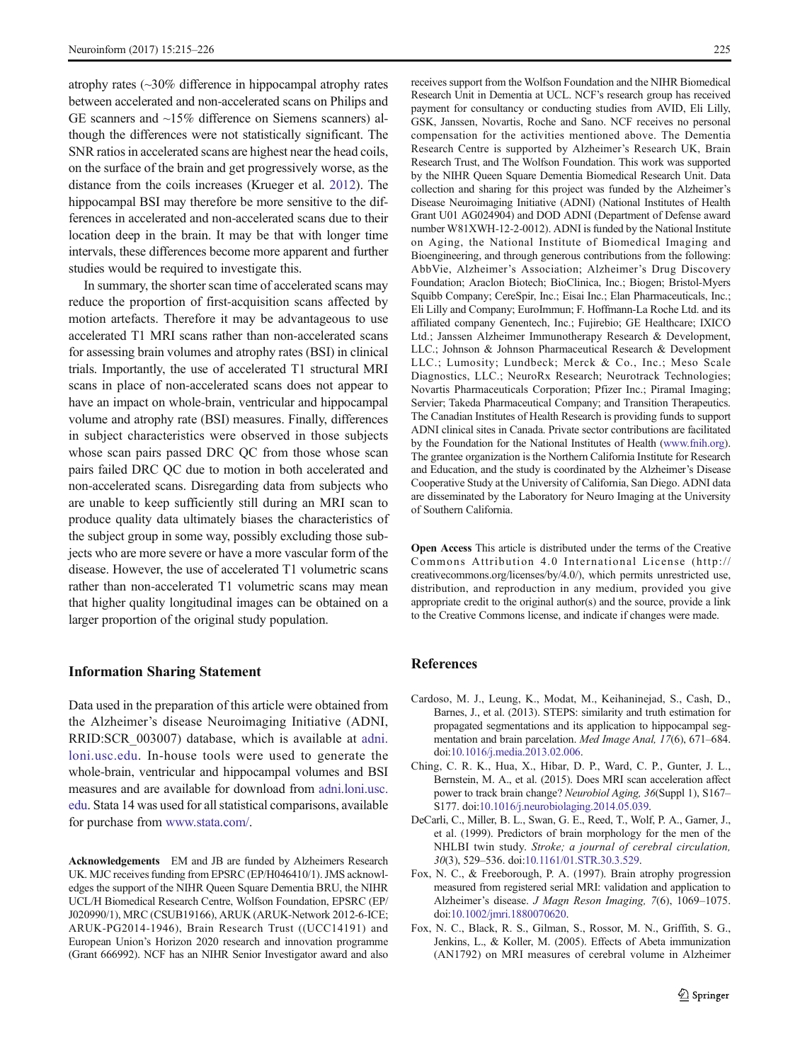<span id="page-10-0"></span>atrophy rates (~30% difference in hippocampal atrophy rates between accelerated and non-accelerated scans on Philips and GE scanners and ~15% difference on Siemens scanners) although the differences were not statistically significant. The SNR ratios in accelerated scans are highest near the head coils, on the surface of the brain and get progressively worse, as the distance from the coils increases (Krueger et al. [2012\)](#page-11-0). The hippocampal BSI may therefore be more sensitive to the differences in accelerated and non-accelerated scans due to their location deep in the brain. It may be that with longer time intervals, these differences become more apparent and further studies would be required to investigate this.

In summary, the shorter scan time of accelerated scans may reduce the proportion of first-acquisition scans affected by motion artefacts. Therefore it may be advantageous to use accelerated T1 MRI scans rather than non-accelerated scans for assessing brain volumes and atrophy rates (BSI) in clinical trials. Importantly, the use of accelerated T1 structural MRI scans in place of non-accelerated scans does not appear to have an impact on whole-brain, ventricular and hippocampal volume and atrophy rate (BSI) measures. Finally, differences in subject characteristics were observed in those subjects whose scan pairs passed DRC QC from those whose scan pairs failed DRC QC due to motion in both accelerated and non-accelerated scans. Disregarding data from subjects who are unable to keep sufficiently still during an MRI scan to produce quality data ultimately biases the characteristics of the subject group in some way, possibly excluding those subjects who are more severe or have a more vascular form of the disease. However, the use of accelerated T1 volumetric scans rather than non-accelerated T1 volumetric scans may mean that higher quality longitudinal images can be obtained on a larger proportion of the original study population.

#### Information Sharing Statement

Data used in the preparation of this article were obtained from the Alzheimer's disease Neuroimaging Initiative (ADNI, RRID:SCR\_003007) database, which is available at [adni.](http://adni.loni.usc.edu) [loni.usc.edu.](http://adni.loni.usc.edu) In-house tools were used to generate the whole-brain, ventricular and hippocampal volumes and BSI measures and are available for download from [adni.loni.usc.](http://adni.loni.usc.edu) [edu](http://adni.loni.usc.edu). Stata 14 was used for all statistical comparisons, available for purchase from [www.stata.com/.](http://www.stata.com/)

Acknowledgements EM and JB are funded by Alzheimers Research UK. MJC receives funding from EPSRC (EP/H046410/1). JMS acknowledges the support of the NIHR Queen Square Dementia BRU, the NIHR UCL/H Biomedical Research Centre, Wolfson Foundation, EPSRC (EP/ J020990/1), MRC (CSUB19166), ARUK (ARUK-Network 2012-6-ICE; ARUK-PG2014-1946), Brain Research Trust ((UCC14191) and European Union's Horizon 2020 research and innovation programme (Grant 666992). NCF has an NIHR Senior Investigator award and also receives support from the Wolfson Foundation and the NIHR Biomedical Research Unit in Dementia at UCL. NCF's research group has received payment for consultancy or conducting studies from AVID, Eli Lilly, GSK, Janssen, Novartis, Roche and Sano. NCF receives no personal compensation for the activities mentioned above. The Dementia Research Centre is supported by Alzheimer's Research UK, Brain Research Trust, and The Wolfson Foundation. This work was supported by the NIHR Queen Square Dementia Biomedical Research Unit. Data collection and sharing for this project was funded by the Alzheimer's Disease Neuroimaging Initiative (ADNI) (National Institutes of Health Grant U01 AG024904) and DOD ADNI (Department of Defense award number W81XWH-12-2-0012). ADNI is funded by the National Institute on Aging, the National Institute of Biomedical Imaging and Bioengineering, and through generous contributions from the following: AbbVie, Alzheimer's Association; Alzheimer's Drug Discovery Foundation; Araclon Biotech; BioClinica, Inc.; Biogen; Bristol-Myers Squibb Company; CereSpir, Inc.; Eisai Inc.; Elan Pharmaceuticals, Inc.; Eli Lilly and Company; EuroImmun; F. Hoffmann-La Roche Ltd. and its affiliated company Genentech, Inc.; Fujirebio; GE Healthcare; IXICO Ltd.; Janssen Alzheimer Immunotherapy Research & Development, LLC.; Johnson & Johnson Pharmaceutical Research & Development LLC.; Lumosity; Lundbeck; Merck & Co., Inc.; Meso Scale Diagnostics, LLC.; NeuroRx Research; Neurotrack Technologies; Novartis Pharmaceuticals Corporation; Pfizer Inc.; Piramal Imaging; Servier; Takeda Pharmaceutical Company; and Transition Therapeutics. The Canadian Institutes of Health Research is providing funds to support ADNI clinical sites in Canada. Private sector contributions are facilitated by the Foundation for the National Institutes of Health [\(www.fnih.org](http://www.fnih.org)). The grantee organization is the Northern California Institute for Research and Education, and the study is coordinated by the Alzheimer's Disease Cooperative Study at the University of California, San Diego. ADNI data are disseminated by the Laboratory for Neuro Imaging at the University of Southern California.

Open Access This article is distributed under the terms of the Creative Commons Attribution 4.0 International License (http:// creativecommons.org/licenses/by/4.0/), which permits unrestricted use, distribution, and reproduction in any medium, provided you give appropriate credit to the original author(s) and the source, provide a link to the Creative Commons license, and indicate if changes were made.

# References

- Cardoso, M. J., Leung, K., Modat, M., Keihaninejad, S., Cash, D., Barnes, J., et al. (2013). STEPS: similarity and truth estimation for propagated segmentations and its application to hippocampal segmentation and brain parcelation. Med Image Anal, 17(6), 671–684. doi:[10.1016/j.media.2013.02.006](http://dx.doi.org/10.1016/j.media.2013.02.006).
- Ching, C. R. K., Hua, X., Hibar, D. P., Ward, C. P., Gunter, J. L., Bernstein, M. A., et al. (2015). Does MRI scan acceleration affect power to track brain change? Neurobiol Aging, 36(Suppl 1), S167– S177. doi[:10.1016/j.neurobiolaging.2014.05.039](http://dx.doi.org/10.1016/j.neurobiolaging.2014.05.039).
- DeCarli, C., Miller, B. L., Swan, G. E., Reed, T., Wolf, P. A., Garner, J., et al. (1999). Predictors of brain morphology for the men of the NHLBI twin study. Stroke; a journal of cerebral circulation, 30(3), 529–536. doi[:10.1161/01.STR.30.3.529](http://dx.doi.org/10.1161/01.STR.30.3.529).
- Fox, N. C., & Freeborough, P. A. (1997). Brain atrophy progression measured from registered serial MRI: validation and application to Alzheimer's disease. J Magn Reson Imaging, 7(6), 1069–1075. doi:[10.1002/jmri.1880070620.](http://dx.doi.org/10.1002/jmri.1880070620)
- Fox, N. C., Black, R. S., Gilman, S., Rossor, M. N., Griffith, S. G., Jenkins, L., & Koller, M. (2005). Effects of Abeta immunization (AN1792) on MRI measures of cerebral volume in Alzheimer